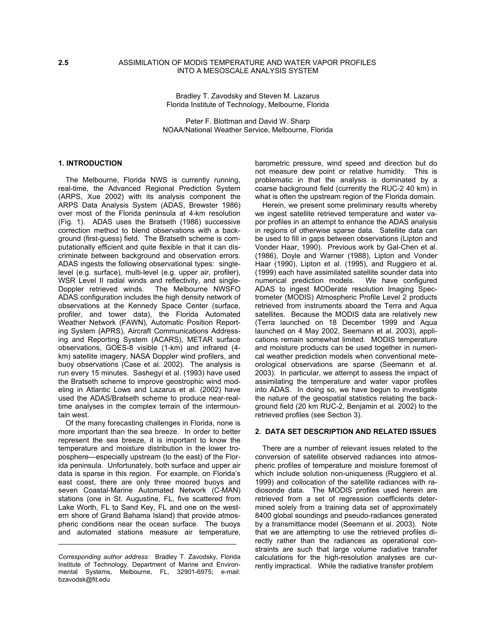# **2.5** ASSIMILATION OF MODIS TEMPERATURE AND WATER VAPOR PROFILES INTO A MESOSCALE ANALYSIS SYSTEM

Bradley T. Zavodsky and Steven M. Lazarus Florida Institute of Technology, Melbourne, Florida

Peter F. Blottman and David W. Sharp NOAA/National Weather Service, Melbourne, Florida

# **1. INTRODUCTION**

 The Melbourne, Florida NWS is currently running, real-time, the Advanced Regional Prediction System (ARPS, Xue 2002) with its analysis component the ARPS Data Analysis System (ADAS, Brewster 1986) over most of the Florida peninsula at 4-km resolution (Fig. 1). ADAS uses the Bratseth (1986) successive correction method to blend observations with a background (first-guess) field. The Bratseth scheme is computationally efficient and quite flexible in that it can discriminate between background and observation errors. ADAS ingests the following observational types: singlelevel (e.g. surface), multi-level (e.g. upper air, profiler), WSR Level II radial winds and reflectivity, and single-Doppler retrieved winds. The Melbourne NWSFO ADAS configuration includes the high density network of observations at the Kennedy Space Center (surface, profiler, and tower data), the Florida Automated Weather Network (FAWN), Automatic Position Reporting System (APRS), Aircraft Communications Addressing and Reporting System (ACARS), METAR surface observations, GOES-8 visible (1-km) and infrared (4 km) satellite imagery, NASA Doppler wind profilers, and buoy observations (Case et al. 2002). The analysis is run every 15 minutes. Sashegyi et al. (1993) have used the Bratseth scheme to improve geostrophic wind modeling in Atlantic Lows and Lazarus et al. (2002) have used the ADAS/Bratseth scheme to produce near-realtime analyses in the complex terrain of the intermountain west.

 Of the many forecasting challenges in Florida, none is more important than the sea breeze. In order to better represent the sea breeze, it is important to know the temperature and moisture distribution in the lower troposphere—especially upstream (to the east) of the Florida peninsula. Unfortunately, both surface and upper air data is sparse in this region. For example, on Florida's east coast, there are only three moored buoys and seven Coastal-Marine Automated Network (C-MAN) stations (one in St. Augustine, FL, five scattered from Lake Worth, FL to Sand Key, FL and one on the western shore of Grand Bahama Island) that provide atmospheric conditions near the ocean surface. The buoys and automated stations measure air temperature,

\_\_\_\_\_\_\_\_\_\_\_\_\_\_\_\_\_\_\_\_\_\_\_\_\_\_\_\_\_\_\_\_\_\_\_\_\_\_\_\_\_\_\_\_

barometric pressure, wind speed and direction but do not measure dew point or relative humidity. This is problematic in that the analysis is dominated by a coarse background field (currently the RUC-2 40 km) in what is often the upstream region of the Florida domain.

 Herein, we present some preliminary results whereby we ingest satellite retrieved temperature and water vapor profiles in an attempt to enhance the ADAS analysis in regions of otherwise sparse data. Satellite data can be used to fill in gaps between observations (Lipton and Vonder Haar, 1990). Previous work by Gal-Chen et al. (1986), Doyle and Warner (1988), Lipton and Vonder Haar (1990), Lipton et al. (1995), and Ruggiero et al. (1999) each have assimilated satellite sounder data into numerical prediction models. We have configured ADAS to ingest MODerate resolution Imaging Spectrometer (MODIS) Atmospheric Profile Level 2 products retrieved from instruments aboard the Terra and Aqua satellites. Because the MODIS data are relatively new (Terra launched on 18 December 1999 and Aqua launched on 4 May 2002, Seemann et al. 2003), applications remain somewhat limited. MODIS temperature and moisture products can be used together in numerical weather prediction models when conventional meteorological observations are sparse (Seemann et al. 2003). In particular, we attempt to assess the impact of assimilating the temperature and water vapor profiles into ADAS. In doing so, we have begun to investigate the nature of the geospatial statistics relating the background field (20 km RUC-2, Benjamin et al. 2002) to the retrieved profiles (see Section 3).

#### **2. DATA SET DESCRIPTION AND RELATED ISSUES**

 There are a number of relevant issues related to the conversion of satellite observed radiances into atmospheric profiles of temperature and moisture foremost of which include solution non-uniqueness (Ruggiero et al. 1999) and collocation of the satellite radiances with radiosonde data. The MODIS profiles used herein are retrieved from a set of regression coefficients determined solely from a training data set of approximately 8400 global soundings and pseudo-radiances generated by a transmittance model (Seemann et al. 2003). Note that we are attempting to use the retrieved profiles directly rather than the radiances as operational constraints are such that large volume radiative transfer calculations for the high-resolution analyses are currently impractical. While the radiative transfer problem

*Corresponding author address:* Bradley T. Zavodsky, Florida Institute of Technology, Department of Marine and Environmental Systems, Melbourne, FL, 32901-6975; e-mail: bzavodsk@fit.edu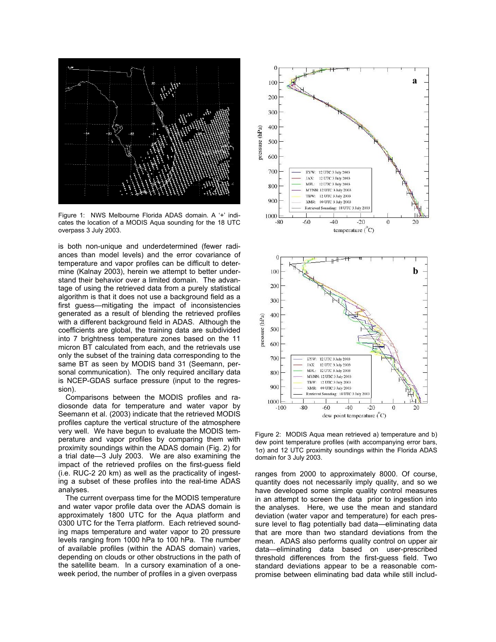

Figure 1: NWS Melbourne Florida ADAS domain. A '+' indicates the location of a MODIS Aqua sounding for the 18 UTC overpass 3 July 2003.

is both non-unique and underdetermined (fewer radiances than model levels) and the error covariance of temperature and vapor profiles can be difficult to determine (Kalnay 2003), herein we attempt to better understand their behavior over a limited domain. The advantage of using the retrieved data from a purely statistical algorithm is that it does not use a background field as a first guess—mitigating the impact of inconsistencies generated as a result of blending the retrieved profiles with a different background field in ADAS. Although the coefficients are global, the training data are subdivided into 7 brightness temperature zones based on the 11 micron BT calculated from each, and the retrievals use only the subset of the training data corresponding to the same BT as seen by MODIS band 31 (Seemann, personal communication). The only required ancillary data is NCEP-GDAS surface pressure (input to the regression).

 Comparisons between the MODIS profiles and radiosonde data for temperature and water vapor by Seemann et al. (2003) indicate that the retrieved MODIS profiles capture the vertical structure of the atmosphere very well. We have begun to evaluate the MODIS temperature and vapor profiles by comparing them with proximity soundings within the ADAS domain (Fig. 2) for a trial date—3 July 2003. We are also examining the impact of the retrieved profiles on the first-guess field (i.e. RUC-2 20 km) as well as the practicality of ingesting a subset of these profiles into the real-time ADAS analyses.

 The current overpass time for the MODIS temperature and water vapor profile data over the ADAS domain is approximately 1800 UTC for the Aqua platform and 0300 UTC for the Terra platform. Each retrieved sounding maps temperature and water vapor to 20 pressure levels ranging from 1000 hPa to 100 hPa. The number of available profiles (within the ADAS domain) varies, depending on clouds or other obstructions in the path of the satellite beam. In a cursory examination of a oneweek period, the number of profiles in a given overpass



Figure 2: MODIS Agua mean retrieved a) temperature and b) dew point temperature profiles (with accompanying error bars, 1σ) and 12 UTC proximity soundings within the Florida ADAS domain for 3 July 2003.

ranges from 2000 to approximately 8000. Of course, quantity does not necessarily imply quality, and so we have developed some simple quality control measures in an attempt to screen the data prior to ingestion into the analyses. Here, we use the mean and standard deviation (water vapor and temperature) for each pressure level to flag potentially bad data—eliminating data that are more than two standard deviations from the mean. ADAS also performs quality control on upper air data—eliminating data based on user-prescribed threshold differences from the first-guess field. Two standard deviations appear to be a reasonable compromise between eliminating bad data while still includ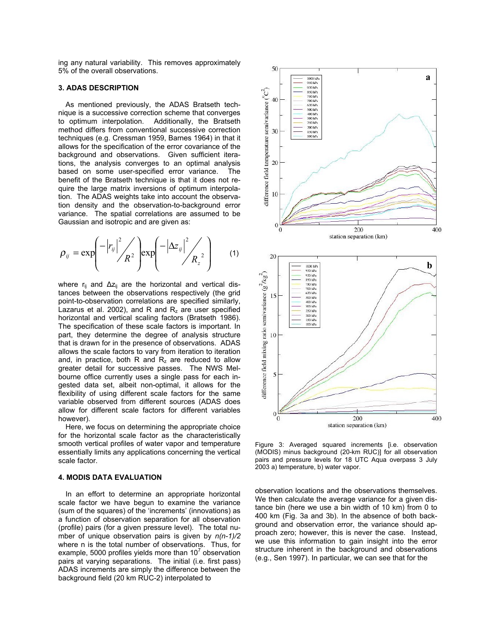ing any natural variability. This removes approximately 5% of the overall observations.

# **3. ADAS DESCRIPTION**

As mentioned previously, the ADAS Bratseth technique is a successive correction scheme that converges to optimum interpolation. Additionally, the Bratseth method differs from conventional successive correction techniques (e.g. Cressman 1959, Barnes 1964) in that it allows for the specification of the error covariance of the background and observations. Given sufficient iterations, the analysis converges to an optimal analysis based on some user-specified error variance. The benefit of the Bratseth technique is that it does not require the large matrix inversions of optimum interpolation. The ADAS weights take into account the observation density and the observation-to-background error variance. The spatial correlations are assumed to be Gaussian and isotropic and are given as:

$$
\rho_{ij} = \exp\left(-\left|r_{ij}\right|^2 / R^2\right) \exp\left(-\left|\Delta z_{ij}\right|^2 / R_z^2\right) \tag{1}
$$

where r<sub>ij</sub> and ∆z<sub>ij</sub> are the horizontal and vertical distances between the observations respectively (the grid point-to-observation correlations are specified similarly, Lazarus et al. 2002), and R and  $R_z$  are user specified horizontal and vertical scaling factors (Bratseth 1986). The specification of these scale factors is important. In part, they determine the degree of analysis structure that is drawn for in the presence of observations. ADAS allows the scale factors to vary from iteration to iteration and, in practice, both R and  $R_z$  are reduced to allow greater detail for successive passes. The NWS Melbourne office currently uses a single pass for each ingested data set, albeit non-optimal, it allows for the flexibility of using different scale factors for the same variable observed from different sources (ADAS does allow for different scale factors for different variables however).

 Here, we focus on determining the appropriate choice for the horizontal scale factor as the characteristically smooth vertical profiles of water vapor and temperature essentially limits any applications concerning the vertical scale factor.

### **4. MODIS DATA EVALUATION**

 In an effort to determine an appropriate horizontal scale factor we have begun to examine the variance (sum of the squares) of the 'increments' (innovations) as a function of observation separation for all observation (profile) pairs (for a given pressure level). The total number of unique observation pairs is given by *n(n-1)/2* where n is the total number of observations. Thus, for example, 5000 profiles yields more than 10 $^7$  observation pairs at varying separations. The initial (i.e. first pass) ADAS increments are simply the difference between the background field (20 km RUC-2) interpolated to



Figure 3: Averaged squared increments [i.e. observation (MODIS) minus background (20-km RUC)] for all observation pairs and pressure levels for 18 UTC Aqua overpass 3 July 2003 a) temperature, b) water vapor.

observation locations and the observations themselves. We then calculate the average variance for a given distance bin (here we use a bin width of 10 km) from 0 to 400 km (Fig. 3a and 3b). In the absence of both background and observation error, the variance should approach zero; however, this is never the case. Instead, we use this information to gain insight into the error structure inherent in the background and observations (e.g., Sen 1997). In particular, we can see that for the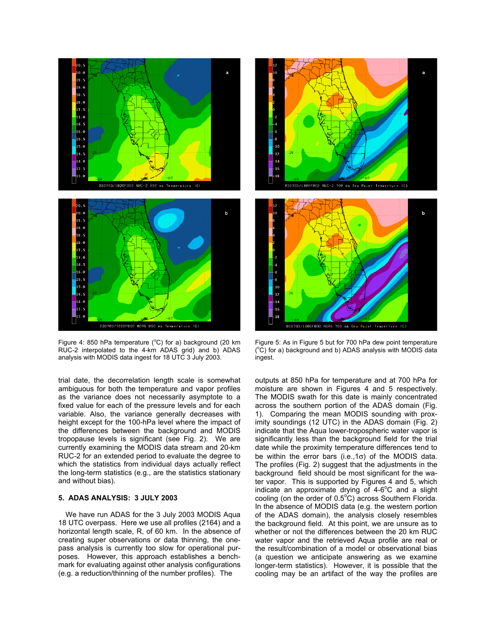

Figure 4: 850 hPa temperature ( $^{\circ}$ C) for a) background (20 km RUC-2 interpolated to the 4-km ADAS grid) and b) ADAS analysis with MODIS data ingest for 18 UTC 3 July 2003.

trial date, the decorrelation length scale is somewhat ambiguous for both the temperature and vapor profiles as the variance does not necessarily asymptote to a fixed value for each of the pressure levels and for each variable. Also, the variance generally decreases with height except for the 100-hPa level where the impact of the differences between the background and MODIS tropopause levels is significant (see Fig. 2). We are currently examining the MODIS data stream and 20-km RUC-2 for an extended period to evaluate the degree to which the statistics from individual days actually reflect the long-term statistics (e.g., are the statistics stationary and without bias).

# **5. ADAS ANALYSIS: 3 JULY 2003**

 We have run ADAS for the 3 July 2003 MODIS Aqua 18 UTC overpass. Here we use all profiles (2164) and a horizontal length scale, R, of 60 km. In the absence of creating super observations or data thinning, the onepass analysis is currently too slow for operational purposes. However, this approach establishes a benchmark for evaluating against other analysis configurations (e.g. a reduction/thinning of the number profiles). The





 $(^{\circ}C)$  for a) background and b) ADAS analysis with MODIS data ingest.

outputs at 850 hPa for temperature and at 700 hPa for moisture are shown in Figures 4 and 5 respectively. The MODIS swath for this date is mainly concentrated across the southern portion of the ADAS domain (Fig. 1). Comparing the mean MODIS sounding with proximity soundings (12 UTC) in the ADAS domain (Fig. 2) indicate that the Aqua lower-tropospheric water vapor is significantly less than the background field for the trial date while the proximity temperature differences tend to be within the error bars (i.e.,1 $\sigma$ ) of the MODIS data. The profiles (Fig. 2) suggest that the adjustments in the background field should be most significant for the water vapor. This is supported by Figures 4 and 5, which indicate an approximate drying of  $4-6^{\circ}$ C and a slight cooling (on the order of  $0.5^{\circ}C$ ) across Southern Florida. In the absence of MODIS data (e.g. the western portion of the ADAS domain), the analysis closely resembles the background field. At this point, we are unsure as to whether or not the differences between the 20 km RUC water vapor and the retrieved Aqua profile are real or the result/combination of a model or observational bias (a question we anticipate answering as we examine longer-term statistics). However, it is possible that the cooling may be an artifact of the way the profiles are